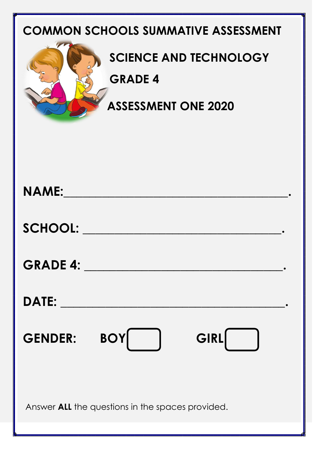## **COMMON SCHOOLS SUMMATIVE ASSESSMENT**



## **SCIENCE AND TECHNOLOGY**

#### **GRADE 4**

 **ASSESSMENT ONE 2020**

| <b>NAME:</b> And the state of the state of the state of the state of the state of the state of the state of the state of the state of the state of the state of the state of the state of the state of the state of the state of th |                         |      |  |  |
|-------------------------------------------------------------------------------------------------------------------------------------------------------------------------------------------------------------------------------------|-------------------------|------|--|--|
|                                                                                                                                                                                                                                     | SCHOOL: NAME OF SCHOOL: |      |  |  |
|                                                                                                                                                                                                                                     |                         |      |  |  |
|                                                                                                                                                                                                                                     |                         |      |  |  |
| <b>GENDER:</b>                                                                                                                                                                                                                      | <b>BOY</b>              | GIRL |  |  |
| Answer ALL the questions in the spaces provided.                                                                                                                                                                                    |                         |      |  |  |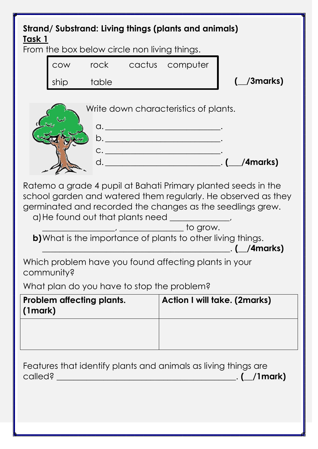### **Strand/ Substrand: Living things (plants and animals) Task 1**

From the box below circle non living things.

cow rock cactus computer ship table

**(\_\_/3marks)**

| Write down characteristics of plants. |          |
|---------------------------------------|----------|
|                                       |          |
|                                       |          |
|                                       |          |
|                                       | /4marks) |
|                                       |          |

Ratemo a grade 4 pupil at Bahati Primary planted seeds in the school garden and watered them regularly. He observed as they germinated and recorded the changes as the seedlings grew.

a)He found out that plants need \_\_\_\_\_\_\_\_\_\_\_,

 $\overline{\phantom{a}}$  to grow. **b)**What is the importance of plants to other living things.

\_\_\_\_\_\_\_\_\_\_\_\_\_\_\_\_\_\_\_\_\_\_\_\_\_\_\_\_\_\_\_\_\_\_\_\_\_\_\_\_\_\_\_\_. **(\_\_/4marks)**

Which problem have you found affecting plants in your community?

What plan do you have to stop the problem?

| <b>Problem affecting plants.</b><br>(1mark) | <b>Action I will take. (2marks)</b> |
|---------------------------------------------|-------------------------------------|
|                                             |                                     |

Features that identify plants and animals as living things are called? \_\_\_\_\_\_\_\_\_\_\_\_\_\_\_\_\_\_\_\_\_\_\_\_\_\_\_\_\_\_\_\_\_\_\_\_\_\_\_\_\_\_. **(\_\_/1mark)**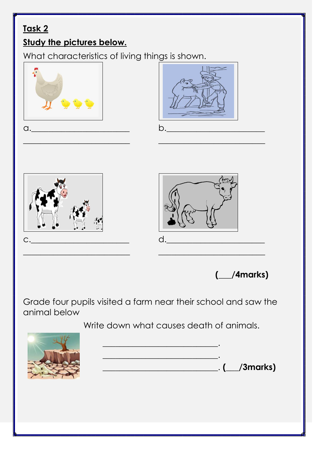# **Task 2**

#### **Study the pictures below.**

What characteristics of living things is shown.



**(\_\_\_/4marks)**

Grade four pupils visited a farm near their school and saw the animal below

Write down what causes death of animals.